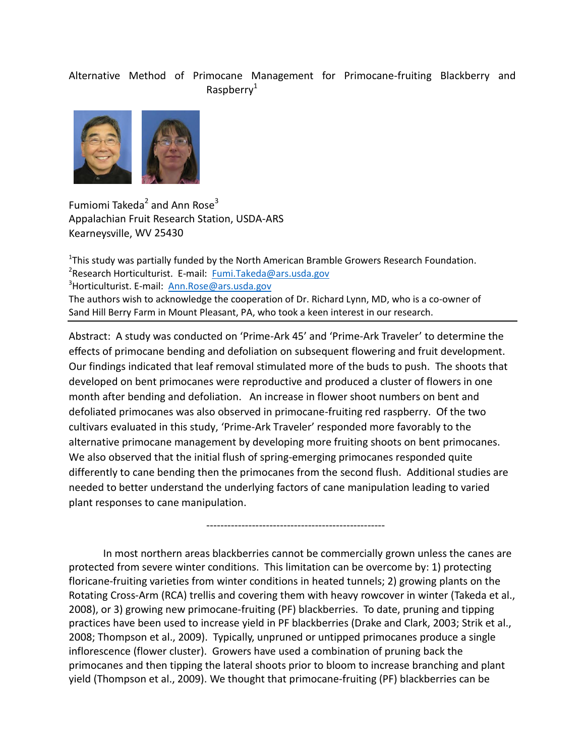## Alternative Method of Primocane Management for Primocane-fruiting Blackberry and Raspberry $1$



Fumiomi Takeda<sup>2</sup> and Ann Rose<sup>3</sup> Appalachian Fruit Research Station, USDA-ARS Kearneysville, WV 25430

 $1$ This study was partially funded by the North American Bramble Growers Research Foundation. <sup>2</sup> Research Horticulturist. E-mail: [Fumi.Takeda@ars.usda.gov](mailto:Fumi.Takeda@ars.usda.gov) <sup>3</sup>Horticulturist. E-mail: [Ann.Rose@ars.usda.gov](mailto:Ann.Rose@ars.usda.gov) The authors wish to acknowledge the cooperation of Dr. Richard Lynn, MD, who is a co-owner of Sand Hill Berry Farm in Mount Pleasant, PA, who took a keen interest in our research.

Abstract: A study was conducted on 'Prime-Ark 45' and 'Prime-Ark Traveler' to determine the effects of primocane bending and defoliation on subsequent flowering and fruit development. Our findings indicated that leaf removal stimulated more of the buds to push. The shoots that developed on bent primocanes were reproductive and produced a cluster of flowers in one month after bending and defoliation. An increase in flower shoot numbers on bent and defoliated primocanes was also observed in primocane-fruiting red raspberry. Of the two cultivars evaluated in this study, 'Prime-Ark Traveler' responded more favorably to the alternative primocane management by developing more fruiting shoots on bent primocanes. We also observed that the initial flush of spring-emerging primocanes responded quite differently to cane bending then the primocanes from the second flush. Additional studies are needed to better understand the underlying factors of cane manipulation leading to varied plant responses to cane manipulation.

In most northern areas blackberries cannot be commercially grown unless the canes are protected from severe winter conditions. This limitation can be overcome by: 1) protecting floricane-fruiting varieties from winter conditions in heated tunnels; 2) growing plants on the Rotating Cross-Arm (RCA) trellis and covering them with heavy rowcover in winter (Takeda et al., 2008), or 3) growing new primocane-fruiting (PF) blackberries. To date, pruning and tipping practices have been used to increase yield in PF blackberries (Drake and Clark, 2003; Strik et al., 2008; Thompson et al., 2009). Typically, unpruned or untipped primocanes produce a single inflorescence (flower cluster). Growers have used a combination of pruning back the primocanes and then tipping the lateral shoots prior to bloom to increase branching and plant yield (Thompson et al., 2009). We thought that primocane-fruiting (PF) blackberries can be

---------------------------------------------------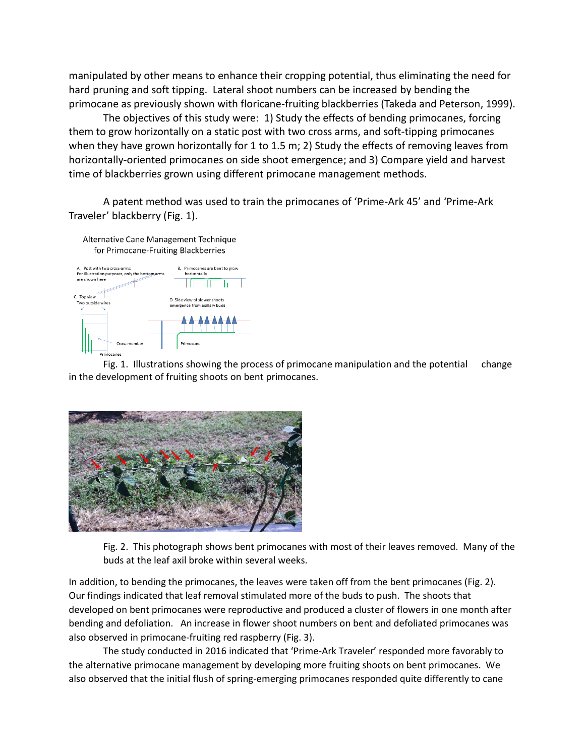manipulated by other means to enhance their cropping potential, thus eliminating the need for hard pruning and soft tipping. Lateral shoot numbers can be increased by bending the primocane as previously shown with floricane-fruiting blackberries (Takeda and Peterson, 1999).

The objectives of this study were: 1) Study the effects of bending primocanes, forcing them to grow horizontally on a static post with two cross arms, and soft-tipping primocanes when they have grown horizontally for 1 to 1.5 m; 2) Study the effects of removing leaves from horizontally-oriented primocanes on side shoot emergence; and 3) Compare yield and harvest time of blackberries grown using different primocane management methods.

A patent method was used to train the primocanes of 'Prime-Ark 45' and 'Prime-Ark Traveler' blackberry (Fig. 1).

Alternative Cane Management Technique for Primocane-Fruiting Blackberries



Fig. 1. Illustrations showing the process of primocane manipulation and the potential change in the development of fruiting shoots on bent primocanes.



Fig. 2. This photograph shows bent primocanes with most of their leaves removed. Many of the buds at the leaf axil broke within several weeks.

In addition, to bending the primocanes, the leaves were taken off from the bent primocanes (Fig. 2). Our findings indicated that leaf removal stimulated more of the buds to push. The shoots that developed on bent primocanes were reproductive and produced a cluster of flowers in one month after bending and defoliation. An increase in flower shoot numbers on bent and defoliated primocanes was also observed in primocane-fruiting red raspberry (Fig. 3).

The study conducted in 2016 indicated that 'Prime-Ark Traveler' responded more favorably to the alternative primocane management by developing more fruiting shoots on bent primocanes. We also observed that the initial flush of spring-emerging primocanes responded quite differently to cane